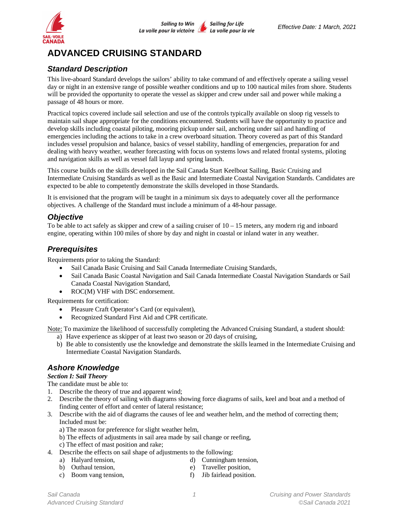

# **ADVANCED CRUISING STANDARD**

# *Standard Description*

This live-aboard Standard develops the sailors' ability to take command of and effectively operate a sailing vessel day or night in an extensive range of possible weather conditions and up to 100 nautical miles from shore. Students will be provided the opportunity to operate the vessel as skipper and crew under sail and power while making a passage of 48 hours or more.

Practical topics covered include sail selection and use of the controls typically available on sloop rig vessels to maintain sail shape appropriate for the conditions encountered. Students will have the opportunity to practice and develop skills including coastal piloting, mooring pickup under sail, anchoring under sail and handling of emergencies including the actions to take in a crew overboard situation. Theory covered as part of this Standard includes vessel propulsion and balance, basics of vessel stability, handling of emergencies, preparation for and dealing with heavy weather, weather forecasting with focus on systems lows and related frontal systems, piloting and navigation skills as well as vessel fall layup and spring launch.

This course builds on the skills developed in the Sail Canada Start Keelboat Sailing, Basic Cruising and Intermediate Cruising Standards as well as the Basic and Intermediate Coastal Navigation Standards. Candidates are expected to be able to competently demonstrate the skills developed in those Standards.

It is envisioned that the program will be taught in a minimum six days to adequately cover all the performance objectives. A challenge of the Standard must include a minimum of a 48-hour passage.

### *Objective*

To be able to act safely as skipper and crew of a sailing cruiser of  $10 - 15$  meters, any modern rig and inboard engine, operating within 100 miles of shore by day and night in coastal or inland water in any weather.

## *Prerequisites*

Requirements prior to taking the Standard:

- Sail Canada Basic Cruising and Sail Canada Intermediate Cruising Standards,
- Sail Canada Basic Coastal Navigation and Sail Canada Intermediate Coastal Navigation Standards or Sail Canada Coastal Navigation Standard,
- ROC(M) VHF with DSC endorsement.

Requirements for certification:

- Pleasure Craft Operator's Card (or equivalent),
- Recognized Standard First Aid and CPR certificate.

Note: To maximize the likelihood of successfully completing the Advanced Cruising Standard, a student should:

- a) Have experience as skipper of at least two season or 20 days of cruising,
- b) Be able to consistently use the knowledge and demonstrate the skills learned in the Intermediate Cruising and Intermediate Coastal Navigation Standards.

# *Ashore Knowledge*

### *Section I: Sail Theory*

The candidate must be able to:

- 1. Describe the theory of true and apparent wind;
- 2. Describe the theory of sailing with diagrams showing force diagrams of sails, keel and boat and a method of finding center of effort and center of lateral resistance;
- 3. Describe with the aid of diagrams the causes of lee and weather helm, and the method of correcting them; Included must be:
	- a) The reason for preference for slight weather helm,
	- b) The effects of adjustments in sail area made by sail change or reefing,
	- c) The effect of mast position and rake;
- 4. Describe the effects on sail shape of adjustments to the following:
	- a) Halyard tension, d) Cunningham tension,
	- b) Outhaul tension, e) Traveller position,
	- c) Boom vang tension, f) Jib fairlead position.
- -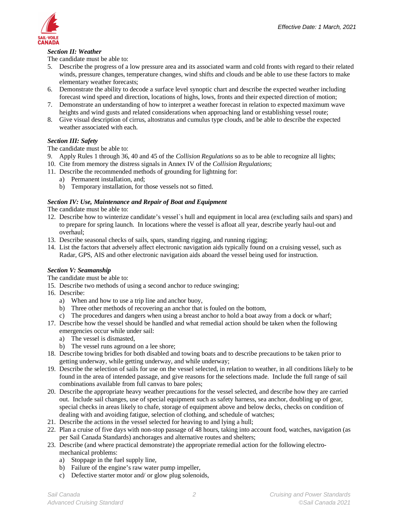### *Section II: Weather*

The candidate must be able to:

- 5. Describe the progress of a low pressure area and its associated warm and cold fronts with regard to their related winds, pressure changes, temperature changes, wind shifts and clouds and be able to use these factors to make elementary weather forecasts;
- 6. Demonstrate the ability to decode a surface level synoptic chart and describe the expected weather including forecast wind speed and direction, locations of highs, lows, fronts and their expected direction of motion;
- 7. Demonstrate an understanding of how to interpret a weather forecast in relation to expected maximum wave heights and wind gusts and related considerations when approaching land or establishing vessel route;
- 8. Give visual description of cirrus, altostratus and cumulus type clouds, and be able to describe the expected weather associated with each.

#### *Section III: Safety*

The candidate must be able to:

- 9. Apply Rules 1 through 36, 40 and 45 of the *Collision Regulations* so as to be able to recognize all lights;
- 10. Cite from memory the distress signals in Annex IV of the *Collision Regulations*;
- 11. Describe the recommended methods of grounding for lightning for:
	- a) Permanent installation, and;
	- b) Temporary installation, for those vessels not so fitted.

#### *Section IV: Use, Maintenance and Repair of Boat and Equipment*

The candidate must be able to:

- 12. Describe how to winterize candidate's vessel`s hull and equipment in local area (excluding sails and spars) and to prepare for spring launch. In locations where the vessel is afloat all year, describe yearly haul-out and overhaul;
- 13. Describe seasonal checks of sails, spars, standing rigging, and running rigging;
- 14. List the factors that adversely affect electronic navigation aids typically found on a cruising vessel, such as Radar, GPS, AIS and other electronic navigation aids aboard the vessel being used for instruction.

#### *Section V: Seamanship*

The candidate must be able to:

- 15. Describe two methods of using a second anchor to reduce swinging;
- 16. Describe:
	- a) When and how to use a trip line and anchor buoy,
	- b) Three other methods of recovering an anchor that is fouled on the bottom,
	- c) The procedures and dangers when using a breast anchor to hold a boat away from a dock or wharf;
- 17. Describe how the vessel should be handled and what remedial action should be taken when the following emergencies occur while under sail:
	- a) The vessel is dismasted,
	- b) The vessel runs aground on a lee shore;
- 18. Describe towing bridles for both disabled and towing boats and to describe precautions to be taken prior to getting underway, while getting underway, and while underway;
- 19. Describe the selection of sails for use on the vessel selected, in relation to weather, in all conditions likely to be found in the area of intended passage, and give reasons for the selections made. Include the full range of sail combinations available from full canvas to bare poles;
- 20. Describe the appropriate heavy weather precautions for the vessel selected, and describe how they are carried out. Include sail changes, use of special equipment such as safety harness, sea anchor, doubling up of gear, special checks in areas likely to chafe, storage of equipment above and below decks, checks on condition of dealing with and avoiding fatigue, selection of clothing, and schedule of watches;
- 21. Describe the actions in the vessel selected for heaving to and lying a hull;
- 22. Plan a cruise of five days with non-stop passage of 48 hours, taking into account food, watches, navigation (as per Sail Canada Standards) anchorages and alternative routes and shelters;
- 23. Describe (and where practical demonstrate) the appropriate remedial action for the following electromechanical problems:
	- a) Stoppage in the fuel supply line,
	- b) Failure of the engine's raw water pump impeller,
	- c) Defective starter motor and/ or glow plug solenoids,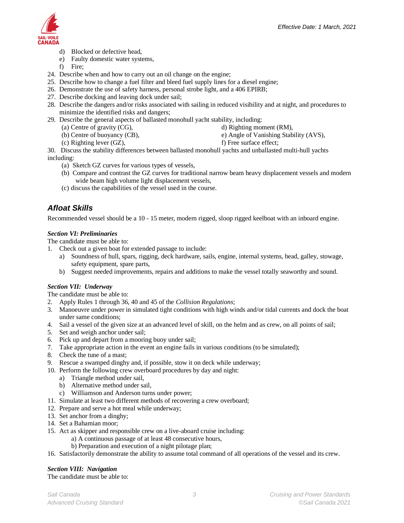

- d) Blocked or defective head,
- e) Faulty domestic water systems,
- f) Fire;
- 24. Describe when and how to carry out an oil change on the engine;
- 25. Describe how to change a fuel filter and bleed fuel supply lines for a diesel engine;
- 26. Demonstrate the use of safety harness, personal strobe light, and a 406 EPIRB;
- 27. Describe docking and leaving dock under sail;
- 28. Describe the dangers and/or risks associated with sailing in reduced visibility and at night, and procedures to minimize the identified risks and dangers;
- 29. Describe the general aspects of ballasted monohull yacht stability, including:
	- (a) Centre of gravity (CG), d) Righting moment (RM),
	-
	- (b) Centre of buoyancy (CB), e) Angle of Vanishing Stability (AVS),
	- (c) Righting lever  $(GZ)$ , f) Free surface effect;
- 

30. Discuss the stability differences between ballasted monohull yachts and unballasted multi-hull yachts including:

- (a) Sketch GZ curves for various types of vessels,
- (b) Compare and contrast the GZ curves for traditional narrow beam heavy displacement vessels and modern wide beam high volume light displacement vessels,
- (c) discuss the capabilities of the vessel used in the course.

# *Afloat Skills*

Recommended vessel should be a 10 - 15 meter, modern rigged, sloop rigged keelboat with an inboard engine.

### *Section VI: Preliminaries*

The candidate must be able to:

- 1. Check out a given boat for extended passage to include:
	- a) Soundness of hull, spars, rigging, deck hardware, sails, engine, internal systems, head, galley, stowage, safety equipment, spare parts,
	- b) Suggest needed improvements, repairs and additions to make the vessel totally seaworthy and sound.

### *Section VII: Underway*

The candidate must be able to:

- 2. Apply Rules 1 through 36, 40 and 45 of the *Collision Regulations*;
- 3. Manoeuvre under power in simulated tight conditions with high winds and/or tidal currents and dock the boat under same conditions;
- 4. Sail a vessel of the given size at an advanced level of skill, on the helm and as crew, on all points of sail;
- 5. Set and weigh anchor under sail;
- 6. Pick up and depart from a mooring buoy under sail;
- 7. Take appropriate action in the event an engine fails in various conditions (to be simulated);
- 8. Check the tune of a mast;
- 9. Rescue a swamped dinghy and, if possible, stow it on deck while underway;
- 10. Perform the following crew overboard procedures by day and night:
	- a) Triangle method under sail,
	- b) Alternative method under sail,
	- c) Williamson and Anderson turns under power;
- 11. Simulate at least two different methods of recovering a crew overboard;
- 12. Prepare and serve a hot meal while underway;
- 13. Set anchor from a dinghy;
- 14. Set a Bahamian moor;
- 15. Act as skipper and responsible crew on a live-aboard cruise including:
	- a) A continuous passage of at least 48 consecutive hours,
	- b) Preparation and execution of a night pilotage plan;
- 16. Satisfactorily demonstrate the ability to assume total command of all operations of the vessel and its crew.

### *Section VIII: Navigation*

The candidate must be able to: